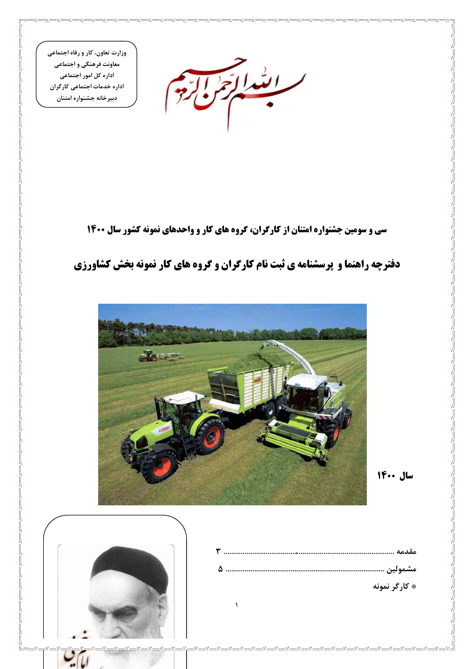وزارت تعاون، کار و رفاه اجتماعی معاونت فرهنگی و اجتماعی اداره کل امور اجتماعی اداره خدمات اجتماعی کارگران دبيرخانه جشنواره امتنان

ابتدالة

**سی و سومین جشنواره امتنان از کارگران، گروه های کار و واحدهای نمونه کشور سال ۱۴۰۰** 

# دفترچه راهنما و پرسشنامه ی ثبت نام کارگران و گروه های کار نمونه بخش کشاورزی



 $\lambda$ 

سال ١٤٠٠



لبايي

 $\overline{\phantom{1}}$   $\phantom{1}$   $\phantom{1}$   $\phantom{1}$   $\phantom{1}$   $\phantom{1}$   $\phantom{1}$   $\phantom{1}$   $\phantom{1}$   $\phantom{1}$   $\phantom{1}$   $\phantom{1}$   $\phantom{1}$   $\phantom{1}$   $\phantom{1}$   $\phantom{1}$   $\phantom{1}$   $\phantom{1}$   $\phantom{1}$   $\phantom{1}$   $\phantom{1}$   $\phantom{1}$   $\phantom{1}$   $\phantom{1}$   $\$ 

| * کارگر نمونه |
|---------------|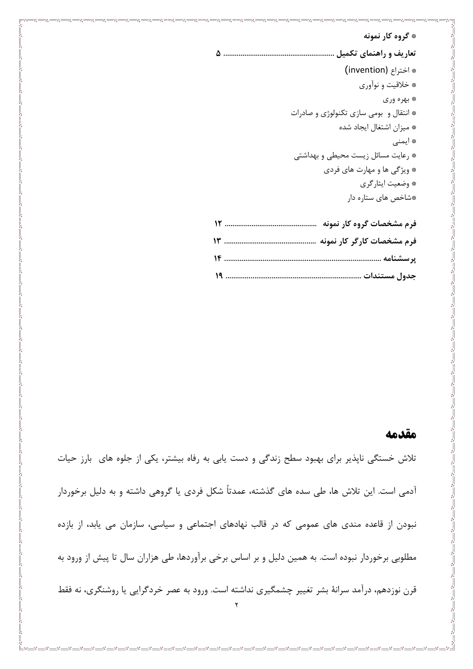# \* گروه کار نمونه \* اختراع (invention) \* خلاقيت و نوآوري \* بهره وري \* انتقال و بومي سازي تكنولوژي و صادرات \* ميزان اشتغال ايجاد شده \* ایمنی \* رعايت مسائل زيست محيطى و بهداشتى \* ویژگی ها و مهارت های فردی \* وضعيت ايثاركري \*شاخص های ستاره دار ف م مشخصات گ وه کار نمونه .........

| $\cdots$ . The communication of the state $\cdots$ of $\mathcal{F}^{\mu\nu}$ and $\mathcal{F}^{\mu\nu}$ and $\mathcal{F}^{\mu\nu}$ |  |
|------------------------------------------------------------------------------------------------------------------------------------|--|
|                                                                                                                                    |  |
|                                                                                                                                    |  |
|                                                                                                                                    |  |

### مقدمه

تلاش خستگی ناپذیر برای بهبود سطح زندگی و دست یابی به رفاه بیشتر، یکی از جلوه های بارز حیات آدمی است. این تلاش ها، طی سده های گذشته، عمدتاً شکل فردی یا گروهی داشته و به دلیل برخوردار نبودن از قاعده مندی های عمومی که در قالب نهادهای اجتماعی و سیاسی، سازمان می یابد، از بازده مطلوبی برخوردار نبوده است. به همین دلیل و بر اساس برخی برآوردها، طی هزاران سال تا پیش از ورود به قرن نوزدهم، درآمد سرانهٔ بشر تغییر چشمگیری نداشته است. ورود به عصر خردگرایی یا روشنگری، نه فقط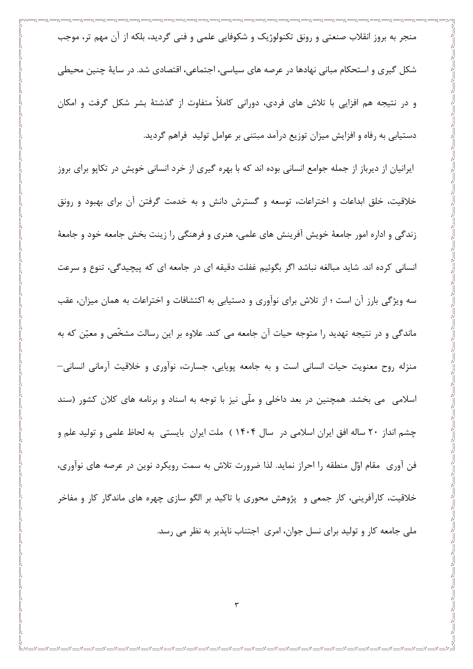منجر به بروز انقلاب صنعتی و رونق تکنولوژیک و شکوفایی علمی و فنی گردید، بلکه از آن مهم تر، موجب شکل گیری و استحکام مبانی نهادها در عرصه های سیاسی، اجتماعی، اقتصادی شد. در سایهٔ چنین محیطی و در نتیجه هم افزایی با تلاش های فردی، دورانی کاملاً متفاوت از گذشتهٔ بشر شکل گرفت و امکان دستیابی به رفاه و افزایش میزان توزیع درآمد مبتنی بر عوامل تولید فراهم گردید. ایرانیان از دیرباز از جمله جوامع انسانی بوده اند که با بهره گیری از خرد انسانی خویش در تکایو برای بروز خلاقیت، خلق ابداعات و اختراعات، توسعه و گسترش دانش و به خدمت گرفتن آن برای بهبود و رونق زندگی و اداره امور جامعهٔ خویش آفرینش های علمی، هنری و فرهنگی را زینت بخش جامعه خود و جامعهٔ انسانی کرده اند. شاید مبالغه نباشد اگر بگوئیم غفلت دقیقه ای در جامعه ای که پیچیدگی، تنوع و سرعت سه ویژگی بارز آن است ؛ از تلاش برای نوآوری و دستیابی به اکتشافات و اختراعات به همان میزان، عقب ماندگی و در نتیجه تهدید را متوجه حیات آن جامعه می کند. علاوه بر این رسالت مشخّص و معیّن که به منزله روح معنویت حیات انسانی است و به جامعه پویایی، جسارت، نوآوری و خلاقیت آرمانی انسانی-اسلامی می بخشد. همچنین در بعد داخلی و ملّی نیز با توجه به اسناد و برنامه های کلان کشور (سند چشم انداز ۲۰ ساله افق ایران اسلامی در سال ۱۴۰۴ ) ملت ایران بایستی به لحاظ علمی و تولید علم و فن آوري ٍ مقام اوّل منطقه را احراز نمايد. لذا ضرورت تلاش به سمت رويكرد نوين در عرصه هاي نوآوري، خلاقیت، کارآفرینی، کار جمعی و پژوهش محوری با تاکید بر الگو سازی چهره های ماندگار کار و مفاخر ملي جامعه کار و توليد براي نسل جوان، امري اجتناب ناپذير به نظر مي رسد.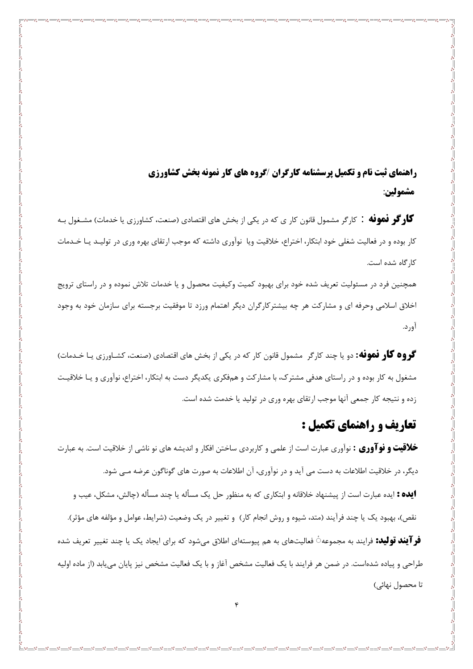**,اهنمای ثبت نام و تکمیل برسشنامه کارگران /گروه های کار نمونه بخش کشاورزی** مشمولين:

گاو گو فهوفه : کارگر مشمول قانون کار ی که در یکی از بخش های اقتصادی (صنعت، کشاورزی یا خدمات) مشـغول بـه کار بوده و در فعالیت شغلی خود ابتکار، اختراع، خلاقیت ویا نوآوری داشته که موجب ارتقای بهره وری در تولیـد یـا خـدمات کا, گاه شده است.

همچنین فرد در مسئولیت تعریف شده خود برای بهبود کمیت وکیفیت محصول و یا خدمات تلاش نموده و در راستای ترویج اخلاق اسلامی وحرفه ای و مشارکت هر چه بیشترکارگران دیگر اهتمام ورزد تا موفقیت برجسته برای سازمان خود به وجود آورد.

گروه گار فموفه: دو یا چند کارگر مشمول قانون کار که در یکی از بخش های اقتصادی (صنعت، کشـاورزی یـا خـدمات) مشغول به کار بوده و در راستای هدفی مشترک، با مشارکت و همفکری یکدیگر دست به ابتکار، اختراع، نوآوری و یـا خلاقیـت زده و نتیجه کار جمعی آنها موجب ارتقای بهره وری در تولید یا خدمت شده است.

## تعاریف و راهنمای تکمیل :

خلاقیت و نوآوری : نوآوری عبارت است از علمی و کاربردی ساختن افکار و اندیشه های نو ناشی از خلاقیت است. به عبارت دیگر، در خلاقیت اطلاعات به دست می آید و در نوآوری، آن اطلاعات به صورت های گوناگون عرضه مـی شود. **ایده :** ایده عبارت است از پیشنهاد خلاقانه و ابتکاری که به منظور حل یک مسأله یا چند مسأله (چالش، مشکل، عیب و

نقص)، بهبود یک یا چند فرآیند (متد، شیوه و روش انجام کار) و تغییر در یک وضعیت (شرایط، عوامل و مؤلفه های مؤثر).

**فر آیند تولید:** فرایند به مجموعهڷ فعالیتهای به هم پیوستهای اطلاق می شود که برای ایجاد یک یا چند تغییر تعریف شده طراحی و پیاده شدهاست. در ضمن هر فرایند با یک فعالیت مشخص آغاز و با یک فعالیت مشخص نیز پایان می بابد (از ماده اولیه تا محصول نهائی)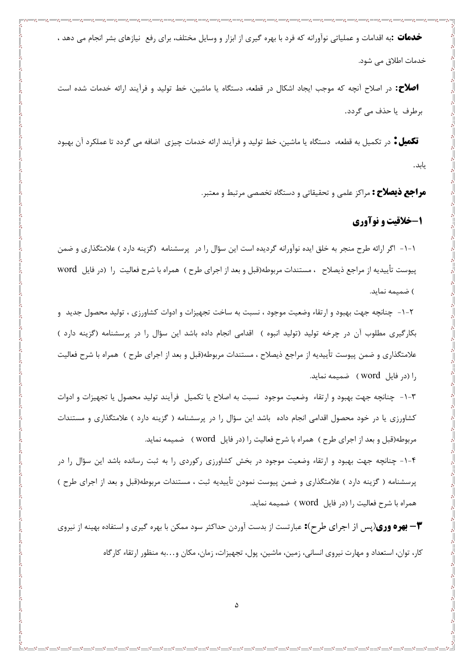خ**دمات :**به اقدامات و عملیاتی نوآورانه که فرد با بهره گیری از ابزار و وسایل مختلف، برای رفع نیازهای بشر انجام می دهد ، خدمات اطلاق می شود.

**اصلاح:** در اصلاح آنچه که موجب ایجاد اشکال در قطعه، دستگاه یا ماشین، خط تولید و فرآیند ارائه خدمات شده است برطرف یا حذف مے گردد.

**تکمیل ٔ** در تکمیل به قطعه، دستگاه یا ماشین، خط تولید و فرآیند ارائه خدمات چیزی اضافه می گردد تا عملکرد آن بهبود يابد.

**مراجع ذیصلاح :** مراکز علمی و تحقیقاتی و دستگاه تخصصی مرتبط و معتبر.

### ۱-خلاقیت و نوآوری

١-١- اگر ارائه طرح منجر به خلق ايده نوآورانه گرديده است اين سؤال را در پرسشنامه (گزينه دارد ) علامتگذاري و ضمن پیوست تأییدیه از مراجع ذیصلاح ، مستندات مربوطه(قبل و بعد از اجرای طرح ) همراه با شرح فعالیت را (در فایل word ) ضمیمه نماید.

٦-١- چنانچه جهت بهبود و ارتقاء وضعيت موجود ، نسبت به ساخت تجهيزات و ادوات كشاورزي ، توليد محصول جديد و بکارگیری مطلوب اّن در چرخه تولید (تولید انبوه ) اقدامی انجام داده باشد این سؤال را در پرسشنامه (گزینه دارد ) علامتگذاری و ضمن پیوست تأییدیه از مراجع ذیصلاح ، مستندات مربوطه(قبل و بعد از اجرای طرح ) همراه با شرح فعالیت را (در فایل word) ضمیمه نماید.

٣-١- چنانچه جهت بهبود و ارتقاء وضعيت موجود نسبت به اصلاح يا تكميل فرآيند توليد محصول يا تجهيزات و ادوات کشاورزی یا در خود محصول اقدامی انجام داده باشد این سؤال را در پرسشنامه ( گزینه دارد ) علامتگذاری و مستندات مربوطه(قبل و بعد از اجراي طرح ) همراه با شرح فعاليت را (در فايل word ) ضميمه نمايد.

۴-۱- چنانچه جهت بهبود و ارتقاء وضعیت موجود در بخش کشاورزی رکوردی را به ثبت رسانده باشد این سؤال را در پرسشنامه ( گزینه دارد ) علامتگذاری و ضمن پیوست نمودن تأییدیه ثبت ، مستندات مربوطه(قبل و بعد از اجرای طرح ) همراه با شرح فعالیت را (در فایل word ) ضمیمه نماید.

**۳ – بهره وری**(پس از اجرای طرح)**:** عبارتست از بدست آوردن حداکثر سود ممکن با بهره گیری و استفاده بهینه از نیروی کار، توان، استعداد و مهارت نیروی انسانی، زمین، ماشین، پول، تجهیزات، زمان، مکان و…به منظور ارتقاء کارگاه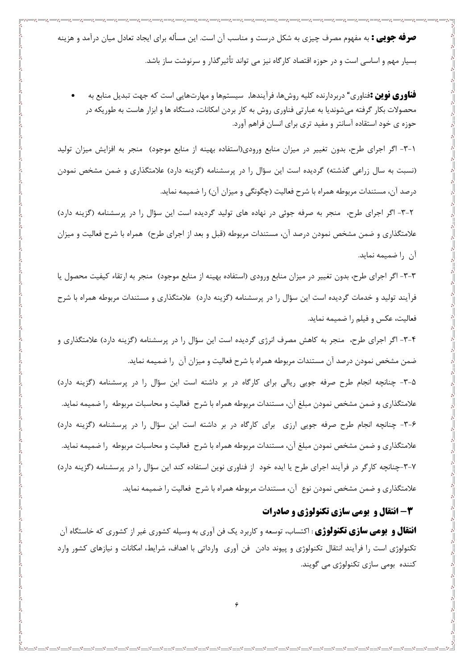**صرفه جویی :** به مفهوم مصرف چیزی به شکل درست و مناسب آن است. این مسأله برای ایجاد تعادل میان درآمد و هزینه بسیار مهم و اساسی است و در حوزه اقتصاد کارگاه نیز می تواند تأثیرگذار و سرنوشت ساز باشد.

**فناوری نوین :**فناوری" دربردارنده کلیه روشها، فرآیندها, سیستمها و مهارتهایی است که جهت تبدیل منابع به محصولات بکار گرفته میشوندیا به عبارتی فناوری روش به کار بردن امکانات، دستگاه ها و ابزار هاست به طوریکه در حوزه ی خود استقاده آسانتر و مفید تری برای انسان فراهم اورد.

۱–۳– اگر اجرای طرح، بدون تغییر در میزان منابع ورودی(استفاده بهینه از منابع موجود) منجر به افزایش میزان تولید (نسبت به سال زراعی گذشته) گردیده است این سؤال را در پرسشنامه (گزینه دارد) علامتگذاری و ضمن مشخص نمودن درصد آن، مستندات مربوطه همراه با شرح فعالیت (چگونگی و میزان آن) را ضمیمه نماید.

۲-۳- اگر اجرای طرح، منجر به صرفه جوئی در نهاده های تولید گردیده است این سؤال را در پرسشنامه (گزینه دارد) علامتگذاری و ضمن مشخص نمودن درصد آن، مستندات مربوطه (قبل و بعد از اجرای طرح) همراه با شرح فعالیت و میزان آن ,ا ضميمه نمايد.

٣-٣- اگر اجراي طرح، بدون تغيير در ميزان منابع ورودي (استفاده بهينه از منابع موجود) منجر به ارتقاء كيفيت محصول يا فرآیند تولید و خدمات گردیده است این سؤال را در پرسشنامه (گزینه دارد) علامتگذاری و مستندات مربوطه همراه با شرح فعاليت، عكس و فيلم را ضميمه نمايد.

۴-۳- اگر اجرای طرح، منجر به کاهش مصرف انرژی گردیده است این سؤال را در پرسشنامه (گزینه دارد) علامتگذاری و ضمن مشخص نمودن درصد آن مستندات مربوطه همراه با شرح فعالیت و میزان آن ۱٫ ضمیمه نماید.

۰۳-۵- چنانچه انجام طرح صرفه جویی ریالی برای کارگاه در بر داشته است این سؤال را در پرسشنامه (گزینه دارد) علامتگذاری و ضمن مشخص نمودن مبلغ آن، مستندات مربوطه همراه با شرح فعالیت و محاسبات مربوطه را ضمیمه نماید. ۶-۳- چنانچه انجام طرح صرفه جویی ارزی برای کارگاه در بر داشته است این سؤال را در پرسشنامه (گزینه دارد) علامتگذاری و ضمن مشخص نمودن مبلغ آن، مستندات مربوطه همراه با شرح فعالیت و محاسبات مربوطه را ضمیمه نماید. ۷-۳-چنانچه کارگر در فرآیند اجرای طرح یا ایده خود از فناوری نوین استفاده کند این سؤال را در پرسشنامه (گزینه دارد) علامتگذاری و ضمن مشخص نمودن نوع آن، مستندات مربوطه همراه با شرح فعالیت را ضمیمه نماید.

#### **3- انتقال و بومی سازی تکنولوژی و صادرات**

**انتقال و بومی سازی تکنولوژی** : اکتساب، توسعه و کاربرد یک فن آوری به وسیله کشوری غیر از کشوری که خاستگاه آن تکنولوژی است را فرآیند انتقال تکنولوژی و پیوند دادن ٍ فن آوری ٍ وارداتی با اهداف، شرایط، امکانات و نیازهای کشور وارد کننده بومي سازي تکنولوژي مي گويند.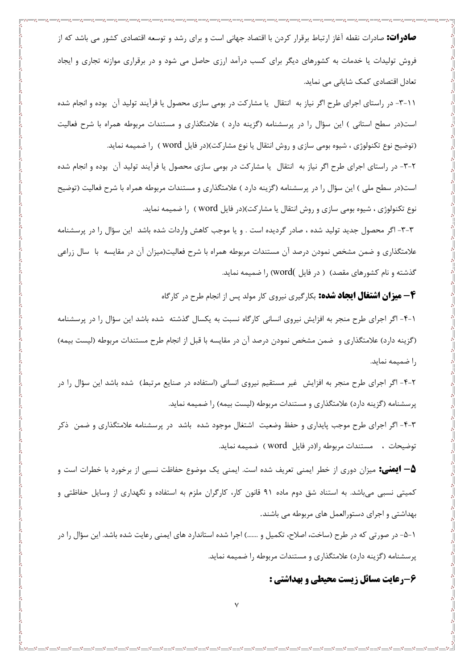**صادرات:** صادرات نقطه آغاز ارتباط برقرار کردن با اقتصاد جهانی است و برای رشد و توسعه اقتصادی کشور می باشد که از فروش تولیدات یا خدمات به کشورهای دیگر برای کسب درآمد ارزی حاصل می شود و در برقراری موازنه تجاری و ایجاد تعادل اقتصادی کمک شایانی می نماید.

- - ۳- در راستای اجرای طرح اگر نیاز به انتقال یا مشارکت در بومی سازی محصول یا فرآیند تولید آن بوده و انجام شده است(در سطح استانی ) این سؤال را در پرسشنامه (گزینه دارد ) علامتگذاری و مستندات مربوطه همراه با شرح فعالیت (توضيح نوع تكنولوژي ، شيوه بومي سازي و روش انتقال يا نوع مشاركت)(در فايل word ) را ضميمه نمايد.

۲-۳- در راستای اجرای طرح اگر نیاز به انتقال یا مشارکت در بومی سازی محصول یا فرآیند تولید آن بوده و انجام شده است(در سطح ملی ) این سؤال را در پرسشنامه (گزینه دارد ) علامتگذاری و مستندات مربوطه همراه با شرح فعالیت (توضیح نوع تکنولوژی ، شیوه بومی سازی و روش انتقال یا مشارکت)(در فایل word ) را ضمیمه نماید.

٣-٣- اگر محصول جدید تولید شده ، صادر گردیده است . و یا موجب کاهش واردات شده باشد آین سؤال را در پرسشنامه علامتگذاری و ضمن مشخص نمودن درصد آن مستندات مربوطه همراه با شرح فعالیت(میزان آن در مقایسه با سال زراعی گذشته و نام کشورهای مقصد) ( در فایل )word) را ضمیمه نماید.

**۴ – میزان اشتغال ایجاد شده:** بکارگیری نیروی کار مولد پس از انجام طرح در کارگاه

۱-۴- اگر اجرای طرح منجر به افزایش نیروی انسانی کارگاه نسبت به یکسال گذشته شده باشد این سؤال را در پرسشنامه (گزینه دارد) علامتگذاری و ضمن مشخص نمودن درصد آن در مقایسه با قبل از انجام طرح مستندات مربوطه (لیست بیمه) را ضميمه نمايد.

۲-۴- اگر اجرای طرح منجر به افزایش ً غیر مستقیم نیروی انسانی (استفاده در صنایع مرتبط) شده باشد این سؤال را در پرسشنامه (گزینه دارد) علامتگذاری و مستندات مربوطه (لیست بیمه) را ضمیمه نماید.

۴-۳- اگر اجرای طرح موجب پایداری و حفظ وضعیت اشتغال موجود شده باشد در پرسشنامه علامتگذاری و ضمن ذکر توضيحات ، مستندات مربوطه را(در فايل word ) ضميمه نمايد.

**۵– ایمنی:** میزان دوری از خطر ایمنی تعریف شده است. ایمنی یک موضوع حفاظت نسبی از برخورد با خطرات است و کمیتی نسبی می باشد. به استناد شق دوم ماده ۹۱ قانون کار، کارگران ملزم به استفاده و نگهداری از وسایل حفاظتی و بهداشتی و اجرای دستورالعمل های مربوطه می باشند.

۱–۵– در صورتی که در طرح (ساخت، اصلاح، تکمیل و …….) اجرا شده استاندارد های ایمنی رعایت شده باشد. این سؤال را در پرسشنامه (گزینه دارد) علامتگذاری و مستندات مربوطه را ضمیمه نماید.

۶-رعایت مسائل زیست محیطی و بهداشتی :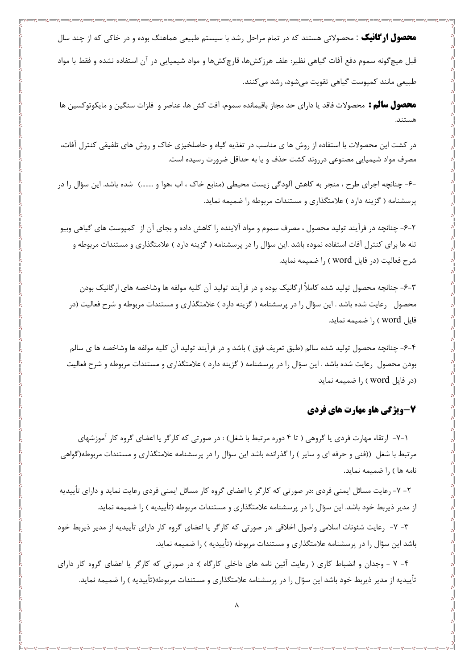**محصول ارگانیک** : محصولاتی هستند که در تمام مراحل رشد با سیستم طبیعی هماهنگ بوده و در خاکی که از چند سال قبل هیچگونه سموم دفع آفات گیاهی نظیر: علف هرزکشها، قارچکشها و مواد شیمیایی در آن استفاده نشده و فقط با مواد طبیعی مانند کمپوست گیاهی تقویت میشود، رشد میکنند.

**محصول سالم :** محصولات فاقد یا دارای حد مجاز باقیمانده سموم، آفت کش ها، عناصر و فلزات سنگین و مایکوتوکسین ها

در کشت این محصولات با استفاده از روش ها ی مناسب در تغذیه گیاه و حاصلخیزی خاک و روش های تلفیقی کنترل آفات، مصرف مواد شیمیایی مصنوعی درروند کشت حذف و یا به حداقل ضرورت رسیده است.

-۶- چنانچه اجرای طرح ، منجر به کاهش آلودگی زیست محیطی (منابع خاک ، اب ،هوا و ……..) شده باشد. این سؤال را در پرسشنامه (گزینه دارد ) علامتگذاری و مستندات مربوطه را ضمیمه نماید.

۲-۶- چنانچه در فرآیند تولید محصول ، مصرف سموم و مواد آلاینده را کاهش داده و بجای آن از کمپوست های گیاهی وبیو تله ها برای کنترل آفات استفاده نموده باشد .این سؤال را در پرسشنامه ( گزینه دارد ) علامتگذاری و مستندات مربوطه و شرح فعاليت (در فايل word ) ,ا ضميمه نمايد.

۳-۶- چنانچه محصول تولید شده کاملاً ارگانیک بوده و در فرآیند تولید آن کلیه مولفه ها وشاخصه های ارگانیک بودن محصول رعایت شده باشد . این سؤال را در پرسشنامه (گزینه دارد ) علامتگذاری و مستندات مربوطه و شرح فعالیت (در فایل word ) را ضمیمه نماید.

۴-۶- چنانچه محصول تولید شده سالم (طبق تعریف فوق ) باشد و در فرآیند تولید آن کلیه مولفه ها وشاخصه ها ی سالم بودن محصول رعایت شده باشد . این سؤال را در پرسشنامه ( گزینه دارد ) علامتگذاری و مستندات مربوطه و شرح فعالیت (در فایل word) ,ا ضمیمه نماید

### **7-ویژگی هاو مهارت های فردی**

۰۱–۷ ارتقاء مهارت فردی یا گروهی ( تا ۴ دوره مرتبط با شغل) : در صورتی که کارگر یا اعضای گروه کار آموزشهای مرتبط با شغل ((فنی و حرفه ای و سایر ) را گذرانده باشد این سؤال را در پرسشنامه علامتگذاری و مستندات مربوطه(گواهی نامه ها ) را ضمیمه نماید.

۲– ۷–, عایت مسائل ایمنی فردی :در صورتی که کارگر یا اعضای گروه کار مسائل ایمنی فردی رعایت نماید و دارای تأییدیه از مدیر ذیربط خود باشد. این سؤال را در پرسشنامه علامتگذاری و مستندات مربوطه (تأییدیه ) را ضمیمه نماید.

۳- ۷- ۱مایت شئونات اسلامی واصول اخلاقی :در صورتی که کارگر یا اعضای گروه کار دارای تأییدیه از مدیر ذیربط خود باشد این سؤال را در پرسشنامه علامتگذاری و مستندات مربوطه (تأییدیه ) را ضمیمه نماید.

۴- ۷ - وجدان و انضباط کاری ( رعایت آئین نامه های داخلی کارگاه ): در صورتی که کارگر یا اعضای گروه کار دارای تأییدیه از مدیر ذیربط خود باشد این سؤال را در پرسشنامه علامتگذاری و مستندات مربوطه(تأییدیه ) را ضمیمه نماید.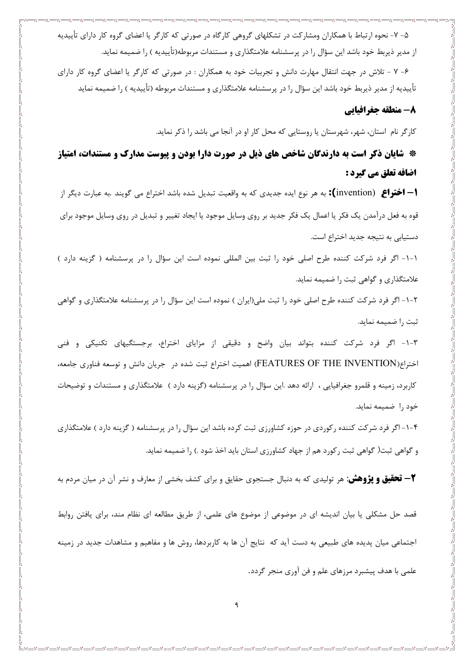۵– ۷– نحوه ارتباط با همکاران ومشارکت در تشکلهای گروهی کارگاه در صورتی که کارگر یا اعضای گروه کار دارای تأییدیه از مدیر ذیربط خود باشد این سؤال را در پرسشنامه علامتگذاری و مستندات مربوطه(تأییدیه ) را ضمیمه نماید.

۶- ۷ - تلاش در جهت انتقال مهارت دانش و تجربیات خود به همکاران : در صورتی که کارگر یا اعضای گروه کار دارای تأییدیه از مدیر ذیربط خود باشد این سؤال را در پرسشنامه علامتگذاری و مستندات مربوطه (تأییدیه ) را ضمیمه نماید

### 8- منطقه جغرافيايي

کارگر نام استان، شهر، شهرستان یا روستایی که محل کار او در آنجا می باشد را ذکر نماید.

\* شایان ذکر است به دارندگان شاخص های ذیل در صورت دارا بودن و پیوست مدارک و مستندات، امتیاز اضافه تعلق مي گيرد :

**ا— اختراع** (invention**):** به هر نوع ايده جديدي كه به واقعيت تبديل شده باشد اختراع مي گويند .به عبارت ديگر از قوه به فعل درآمدن یک فکر یا اعمال یک فکر جدید بر روی وسایل موجود یا ایجاد تغییر و تبدیل در روی وسایل موجود برای دستیابی به نتیجه جدید اختراع است.

١-١- اگر فرد شركت كننده طرح اصلى خود را ثبت بين المللى نموده است اين سؤال را در پرسشنامه ( گزينه دارد ) علامتگذاری و گواهی ثبت را ضمیمه نماید.

۲-۱- اگر فرد شرکت کننده طرح اصلی خود را ثبت ملی(ایران ) نموده است این سؤال را در پرسشنامه علامتگذاری و گواهی ثبت را ضميمه نمايد.

۳-۱- اگر فرد شرکت کننده بتواند بیان واضح و دقیقی از مزایای اختراع، برجستگیهای تکنیکی و فنی اختراع(FEATURES OF THE INVENTION) اهمیت اختراع ثبت شده در جریان دانش و توسعه فناوری جامعه، کاربرد، زمینه و قلمرو جغرافیایی ، ارائه دهد .این سؤال را در پرسشنامه (گزینه دارد ) علامتگذاری و مستندات و توضیحات خود را ضميمه نمايد.

۴–۱–اگر فرد شرکت کننده رکوردی در حوزه کشاورزی ثبت کرده باشد این سؤال را در پرسشنامه ( گزینه دارد ) علامتگذاری و گواهی ثبت( گواهی ثبت رکورد هم از جهاد کشاورزی استان باید اخذ شود .) را ضمیمه نماید.

**۳- تحقیق و پژوهش:** هر تولیدی که به دنبال جستجوی حقایق و برای کشف بخشی از معارف و نشر آن در میان مردم به

قصد حل مشکلی یا بیان اندیشه ای در موضوعی از موضوع های علمی، از طریق مطالعه ای نظام مند، برای یافتن روابط اجتماعی میان پدیده های طبیعی به دست آید که نتایج آن ها به کاربردها، روش ها و مفاهیم و مشاهدات جدید در زمینه علمی با هدف پیشبرد مرزهای علم و فن آوری منجر گردد.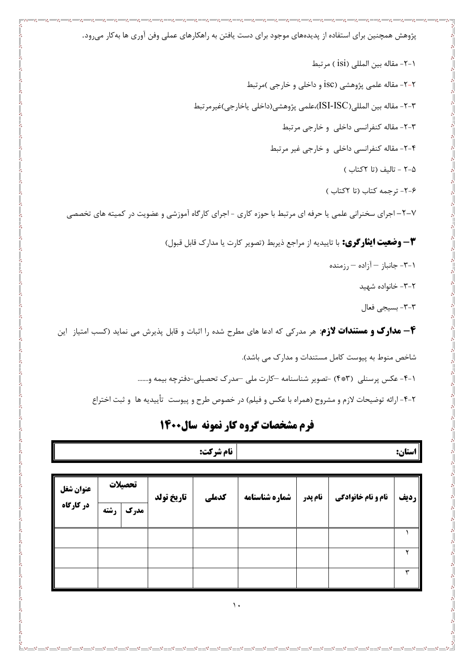پژوهش همچنین برای استفاده از پدیدههای موجود برای دست یافتن به راهکارهای عملی وفن آوری ها بهکار میرود.

٢-٢- مقاله بين المللي (İsi) مرتبط

۲-۲- مقاله علمي پژوهشي (isc و داخلي و خارجي )مرتبط

٣-٢- مقاله بين المللي(ISI-ISC)،علمي پژوهشي(داخلي ياخارجي)غيرمرتبط

٣-٢- مقاله كنفرانسي داخلي وخارجي مرتبط

۴-۲- مقاله کنفرانسی داخلی و خارجی غیر مرتبط

٨-٢ - تاليف (تا ٢كتاب)

۶-۲- ترجمه کتاب (تا ۲کتاب)

۷–۲– اجرای سخنرانی علمی یا حرفه ای مرتبط با حوزه کاری - اجرای کارگاه آموزشی و عضویت در کمیته های تخصصی

**٣ – وضعیت ایثار کری:** با تاییدیه از مراجع ذیربط (تصویر کارت یا مدارک قابل قبول)

- -۳-۱ جانباز $-$  آزاده $-$ رزمنده
	- ۲-۳- خانواده شهید
	- ٣-٣- بسيجي فعال

**۴- مدارک و مستندات لازم**: هر مدرکی که ادعا های مطرح شده را اثبات و قابل پذیرش می نماید (کسب امتیاز این

شاخص منوط به پیوست کامل مستندات و مدارک می باشد).

٩-٢- عكس يرسنلي (٣\*٣) -تصوير شناسنامه -كارت ملي -مدرك تحصيلي-دفترچه بيمه و.......

٢-٢- ارائه توضيحات لازم و مشروح (همراه با عكس و فيلم) در خصوص طرح و پيوست تأييديه ها و ثبت اختراع

## فرم مشخصات گروه کار نمونه سال1400

|           |        |                   | <b>نام شرکت:</b> |                |         |                           | استان:        |
|-----------|--------|-------------------|------------------|----------------|---------|---------------------------|---------------|
|           |        |                   |                  |                |         |                           |               |
| عنوان شغل | تحصلات | <b>تاريخ تولد</b> | كدملي            | شماره شناسنامه | نام يدر | <b>نام و نام خانوادگی</b> | <b>  رديف</b> |

| عنوان شغل | تحصيلات |      | تاريخ تولد | كدملي | شماره شناسنامه | نام پدر | <b>نام و نام خانوادگی</b> | رديف |
|-----------|---------|------|------------|-------|----------------|---------|---------------------------|------|
| در کارگاه | رشته    | مدرک |            |       |                |         |                           |      |
|           |         |      |            |       |                |         |                           |      |
|           |         |      |            |       |                |         |                           |      |
|           |         |      |            |       |                |         |                           |      |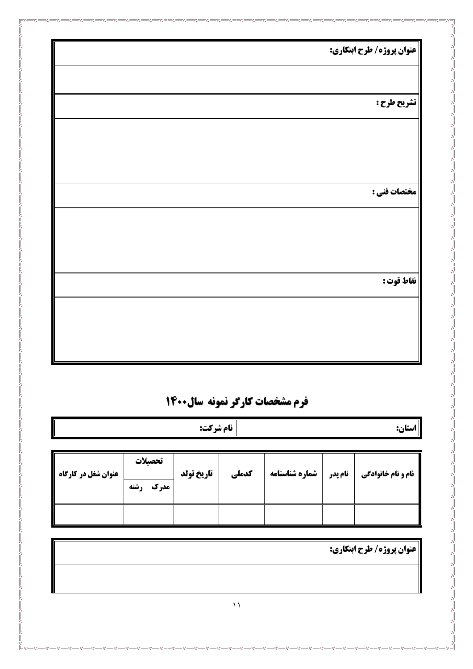| <b>  عنوان پروژه/ طرح ابتکاری:</b> |
|------------------------------------|
|                                    |
| تشريح طرح :                        |
|                                    |
|                                    |
| مختصات فني :                       |
|                                    |
|                                    |
|                                    |
| نقاط قوت :                         |
|                                    |
|                                    |

 $\frac{3}{6}$   $\frac{3}{6}$   $\frac{3}{6}$ 

## **فرم مشخصات کارگر نمونه سال1400**

|                              |              |         |            | نام شركت:<br>استان: |                |         |                           |
|------------------------------|--------------|---------|------------|---------------------|----------------|---------|---------------------------|
|                              |              |         |            |                     |                |         |                           |
|                              |              | تحصيلات |            |                     |                |         |                           |
| <b>  عنوان شغل در کارگاه</b> | <b>، شته</b> | مدرك    | تاريخ تولد | كدملي               | شماره شناسنامه | نام پدر | <b>نام و نام خانوادگی</b> |
|                              |              |         |            |                     |                |         |                           |
|                              |              |         |            |                     |                |         |                           |
|                              |              |         |            |                     |                |         |                           |

**عنوان پروژه/ طرح ابتكاري:** 

 $-38 - 38 - 38 - 38 - 38 - 38 - 38$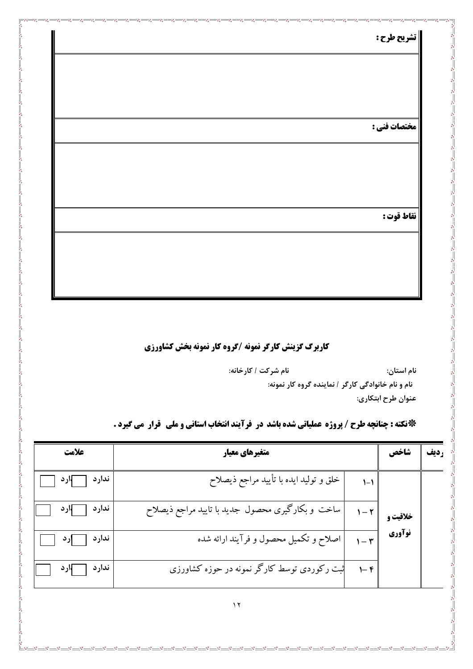| ٠ | п. | ٠. |
|---|----|----|
| ٠ | ∽  | 71 |

مختصات فني :

نقاط قوت :

کاربرگ گزینش کارگر نمونه /گروه کار نمونه بخش کشاورزی

¦<br>∘°<br>|∟<sub>%°—</sub>∞°

نام شركت / كارخانه: نام استان: نام و نام خانوادگی کارگر / نماینده گروه کار نمونه: عنوان طرح ابتكاري:

 $-8^{\circ}$ 

 $\frac{1}{2}$ 

\*نكته : چنانچه طرح / پروژه عملياتي شده باشد در فرآيند انتخاب استاني و ملي گوار مي گيرد .

| علامت        | متغیرهای معیار                                   |                     | شاخص     |  |
|--------------|--------------------------------------------------|---------------------|----------|--|
| ندارد اورد ا | خلق و تولید ایده با تأیید مراجع ذیصلاح           | $1 - 1$             |          |  |
| ندارد پارد   | ساخت و بکارگیری محصول جدید با تایید مراجع ذیصلاح | $1-\tau$            | خلاقیت و |  |
| ندارد [ ]رد  | اصلاح و تکمیل محصول و فرآیند ارائه شده           |                     | نوآوري   |  |
| ندارد المارد | ثبت رکوردی توسط کارگر نمونه در حوزه کشاورزی      | $\vdash$ $\uparrow$ |          |  |

 $\cdot \cdot \cdot$   $\cdot \cdot$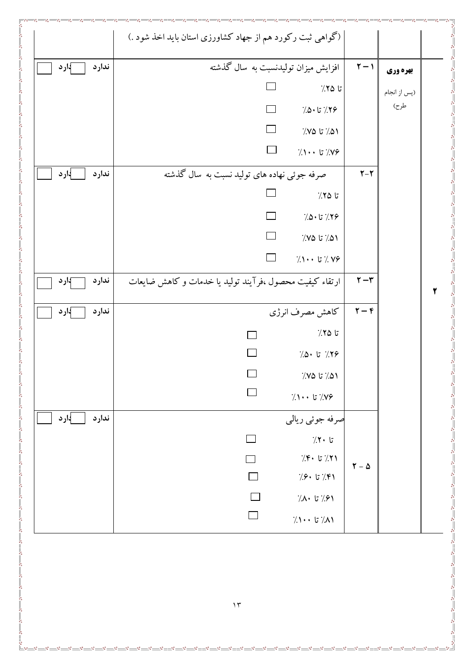|                 | (گواهی ثبت رکورد هم از جهاد کشاورزی استان باید اخذ شود .) |                                                |                                                 |              |
|-----------------|-----------------------------------------------------------|------------------------------------------------|-------------------------------------------------|--------------|
| ندارد<br>∫ارد   | افزایش میزان تولیدنسبت به سال گذشته                       |                                                | $\Upsilon - \Upsilon$                           | بهره وري     |
|                 |                                                           | $\frac{7}{2}$ تا ۲۵٪                           |                                                 | (پس از انجام |
|                 |                                                           | $7.0 \cdot 5.79$                               |                                                 | طرح)         |
|                 |                                                           | $7/10$ تا ۱۵٪                                  |                                                 |              |
|                 | $\Box$                                                    | $\gamma \rightarrow +$ تا ۱۰۰ $\gamma$         |                                                 |              |
| ∤ارد<br>ندارد   | صرفه جوئی نهاده های تولید نسبت به سال گذشته               |                                                | $Y-Y$                                           |              |
|                 |                                                           | $7.70$ تا                                      |                                                 |              |
|                 |                                                           | $\frac{1}{2}$ 7۶/ تا $\sim$                    |                                                 |              |
|                 | $\Box$                                                    | $\frac{1}{2}$ ۵۱/ تا ۷۵٪                       |                                                 |              |
|                 | $\Box$                                                    | $\gamma \rightarrow$ 7. 7 $\gamma$ 7. $\gamma$ |                                                 |              |
| ندارد<br>}ار د  | ارتقاء کیفیت محصول ،فرآیند تولید یا خدمات و کاهش ضایعات   |                                                | $\tau - \tau$                                   |              |
| ندارد<br>−}ار د |                                                           | كاهش مصرف انرژى                                | $\mathbf{r}-\mathbf{r}$                         |              |
|                 |                                                           | تا ۲۵٪                                         |                                                 |              |
|                 |                                                           | $7.0 \cdot 17$ 7۶                              |                                                 |              |
|                 | $\Box$                                                    | $\frac{1}{2}$ ۵۱/ تا ۷۵٪                       |                                                 |              |
|                 | $\Box$                                                    | $\gamma \rightarrow \gamma$ تا ۱۰۰ $\gamma$    |                                                 |              |
| ارد {<br>ندارد  |                                                           | صرفه جوئي ريالي                                |                                                 |              |
|                 |                                                           | $7.7 \cdot 5$                                  |                                                 |              |
|                 |                                                           | $\gamma$ : تا ۴۰ $\gamma$                      | $\boldsymbol{\Upsilon}$ – $\boldsymbol{\Delta}$ |              |
|                 |                                                           | $7.9 \cdot 17.7$ تا $9.8$                      |                                                 |              |
|                 |                                                           | $7.1 \cdot 7.91$                               |                                                 |              |
|                 | $\Box$                                                    | $7.1 \cdot \cdot 7.1$ تا ۱۰۰ $7.1$             |                                                 |              |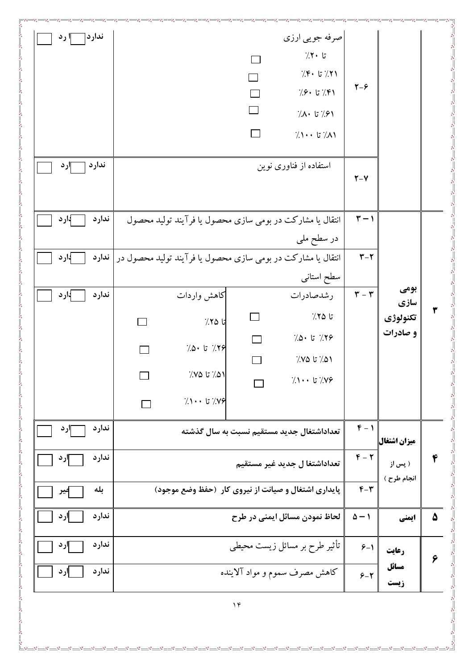| استفاده از فناوری نوین<br>$Y-Y$<br>$\mathbf{r}-\mathbf{v}$<br>انتقال یا مشارکت در بومی سازی محصول یا فرآیند تولید محصول<br>در سطح ملی<br>$\mathbf{r}-\mathbf{r}$<br>انتقال یا مشارکت در بومی سازی محصول یا فرآیند تولید محصول در   ند <b>ارد</b><br>سطح استانى<br>بومي<br>$\mathbf{r}-\mathbf{r}$<br>كاهش واردات<br>رشدصادرات<br>سازي<br>تا ۲۵٪<br>تكنولوژي<br>تا ۲۵٪<br>و صادرات<br>$7.0 \cdot 17.79$<br>$7.0 \cdot 17$ 79<br>$\frac{7}{2}$ ۵۱/ تا ۱۵٪<br>۵۱/ تا ۷۵٪<br>$7.1 \cdot 17.79$<br>$7.1 \cdot \cdot 57.1$<br>$F - 1$<br>تعداداشتغال جدید مستقیم نسبت به سال گذشته<br>ميزان اشتغال <br>$\mathbf{F}-\mathbf{Y}$<br>تعداداشتغا ل جدید غیر مستقیم<br>( پس از |
|---------------------------------------------------------------------------------------------------------------------------------------------------------------------------------------------------------------------------------------------------------------------------------------------------------------------------------------------------------------------------------------------------------------------------------------------------------------------------------------------------------------------------------------------------------------------------------------------------------------------------------------------------------------------|
|                                                                                                                                                                                                                                                                                                                                                                                                                                                                                                                                                                                                                                                                     |
| ۳                                                                                                                                                                                                                                                                                                                                                                                                                                                                                                                                                                                                                                                                   |
|                                                                                                                                                                                                                                                                                                                                                                                                                                                                                                                                                                                                                                                                     |
|                                                                                                                                                                                                                                                                                                                                                                                                                                                                                                                                                                                                                                                                     |
|                                                                                                                                                                                                                                                                                                                                                                                                                                                                                                                                                                                                                                                                     |
|                                                                                                                                                                                                                                                                                                                                                                                                                                                                                                                                                                                                                                                                     |
|                                                                                                                                                                                                                                                                                                                                                                                                                                                                                                                                                                                                                                                                     |
| ۴                                                                                                                                                                                                                                                                                                                                                                                                                                                                                                                                                                                                                                                                   |
|                                                                                                                                                                                                                                                                                                                                                                                                                                                                                                                                                                                                                                                                     |
|                                                                                                                                                                                                                                                                                                                                                                                                                                                                                                                                                                                                                                                                     |
|                                                                                                                                                                                                                                                                                                                                                                                                                                                                                                                                                                                                                                                                     |
|                                                                                                                                                                                                                                                                                                                                                                                                                                                                                                                                                                                                                                                                     |
|                                                                                                                                                                                                                                                                                                                                                                                                                                                                                                                                                                                                                                                                     |
| انجام طرح )<br>$F - T$<br>پایداری اشتغال و صیانت از نیروی کار (حفظ وضع موجود)                                                                                                                                                                                                                                                                                                                                                                                                                                                                                                                                                                                       |
| $\Delta - 1$<br>لحاظ نمودن مسائل ايمني در طرح<br>٥<br>ايمني                                                                                                                                                                                                                                                                                                                                                                                                                                                                                                                                                                                                         |
| تأثیر طرح بر مسائل زیست محیطی<br>$9 - 1$<br>رعايت                                                                                                                                                                                                                                                                                                                                                                                                                                                                                                                                                                                                                   |
| ۶<br>مسائل<br>كاهش مصرف سموم و مواد آلاينده<br>$5 - 7$<br>زيست                                                                                                                                                                                                                                                                                                                                                                                                                                                                                                                                                                                                      |
| $\gamma$                                                                                                                                                                                                                                                                                                                                                                                                                                                                                                                                                                                                                                                            |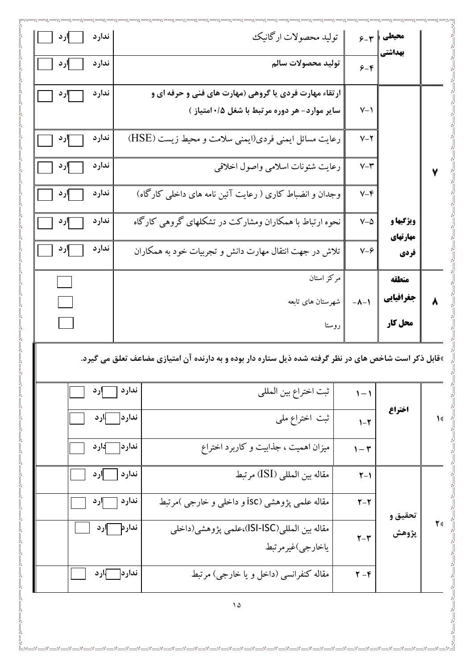| ندارد<br>ار د<br>ندارد<br>ار د | توليد محصولات اركانيك<br>توليد محصولات سالم                                              | $5 - r$               | محيطي<br>بهداشتي   |  |
|--------------------------------|------------------------------------------------------------------------------------------|-----------------------|--------------------|--|
| ندارد<br>∥رد                   | ارتقاء مهارت فردی یا گروهی (مهارت های فنی و حرفه ای و                                    | $5 - 5$               |                    |  |
|                                | سایر موارد- هر دوره مرتبط با شغل ۰/۵امتیاز )                                             | $V - 1$               |                    |  |
| ندارد<br>∣ارد<br>ندارد<br>∥رد  | رعایت مسائل ایمنی فردی(ایمنی سلامت و محیط زیست (HSE)<br>رعايت شئونات اسلامي واصول اخلاقي | $V - Y$<br>$V - \tau$ |                    |  |
| ندارد<br>إرد                   | وجدان و انضباط کاری ( رعایت آئین نامه های داخلی کارگاه)                                  | $V - \mathfrak{F}$    |                    |  |
| ندارد<br>∥رد                   | نحوه ارتباط با همکاران ومشارکت در تشکلهای گروهی کارگاه                                   | $V-\Delta$            | <b>ویژگیها و</b>   |  |
| ندارد<br>إرد                   | تلاش در جهت انتقال مهارت دانش و تجربیات خود به همکاران                                   | $V - 9$               | مهارتهای<br>فردي   |  |
|                                | مركز استان<br>شهرستان های تابعه                                                          | $-\lambda - 1$        | منطقه<br>جغرافيايي |  |
|                                | روستا                                                                                    |                       | محل کار            |  |

 $-8^{\circ} - 8^{\circ}$ 

 $\overline{\mathbb{F}}^{\circ}$ 

**ّ**قابل ذکر است شاخص های در نظر گرفته شده ذیل ستاره دار بوده و به دارنده آن امتیازی مضاعف تعلق می گیرد.

|    |         | $1 - 1$                   | ثبت اختراع بين المللي                                           | ندارد است ارد  |  |
|----|---------|---------------------------|-----------------------------------------------------------------|----------------|--|
| ١š | اختراع  | $\mathcal{N}$             | ثبت اختراع ملی                                                  | ندارد او د     |  |
|    |         | $1-\mathcal{r}$           | میزان اهمیت ، جذابیت و کاربرد اختراع                            | ندارد کارد     |  |
| ٢٤ |         | $\uparrow - \uparrow$     | مقاله بين المللي (ISI) مرتبط                                    | ندارد ارد      |  |
|    | تحقيق و | $\Upsilon-\Upsilon$       | مقاله علمی پژوهشی (isc و داخلی و خارجی )مرتبط                   | ندارد ۱۰۰۰ ارد |  |
|    | پژوهش   | $\mathbf{Y}-\mathbf{Y}$   | مقاله بين المللي(ISI-ISC)،علمي پژوهشي(داخلي<br>ياخارجي)غيرمرتبط | ندارد اس ارد ا |  |
|    |         | $\mathbf{Y} - \mathbf{F}$ | مقاله کنفرانسی (داخل و یا خارجی) مرتبط                          | ندارد ا        |  |

 $\Delta$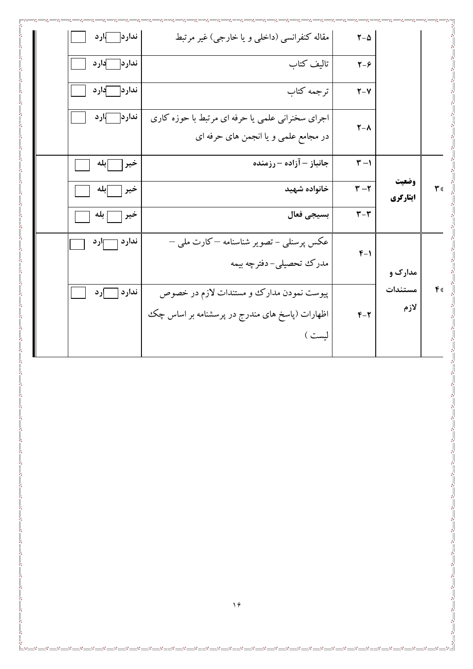| ندارد آارد     | مقاله کنفرانسی (داخلی و یا خارجی) غیر مرتبط      | $\mathbf{Y}-\boldsymbol{\Delta}$ |                   |                  |
|----------------|--------------------------------------------------|----------------------------------|-------------------|------------------|
| ندارد کارد     | تاليف كتاب                                       | $Y - 9$                          |                   |                  |
| ندارد کارد     | ترجمه كتاب                                       | $Y-Y$                            |                   |                  |
| ندارد اسرارد   | اجرای سخنرانی علمی یا حرفه ای مرتبط با حوزه کاری | $\mathbf{Y}-\mathbf{V}$          |                   |                  |
|                | در مجامع علمی و یا انجمن های حرفه ای             |                                  |                   |                  |
| ∫بله<br>خير    | جانباز – آزاده – رزمنده                          | $\mathbf{r}$ –1                  |                   |                  |
| خير<br>إبله    | خانواده شهيد                                     | $\mathbf{r}-\mathbf{r}$          | وضعيت<br>ایثارگری | ٣٠               |
| خير<br>  بله   | بسيجي فعال                                       | $\mathbf{r}-\mathbf{r}$          |                   |                  |
| ندارد<br>— ارد | عکس پرسنلمی – تصویر شناسنامه —کارت ملمی —        | $F-1$                            |                   |                  |
|                | مدرك تحصيلى-دفترچه بيمه                          |                                  | مدارک و           |                  |
| ندارد<br>ارد   | پیوست نمودن مدارک و مستندات لازم در خصوص         |                                  | مستندات           | $\mathfrak{e}_3$ |
|                | اظهارات (پاسخ های مندرج در پرسشنامه بر اساس چک   | $F - T$                          | لازم              |                  |
|                | ليست )                                           |                                  |                   |                  |
|                |                                                  |                                  |                   |                  |
|                |                                                  |                                  |                   |                  |
|                |                                                  |                                  |                   |                  |
|                |                                                  |                                  |                   |                  |
|                |                                                  |                                  |                   |                  |
|                |                                                  |                                  |                   |                  |
|                |                                                  |                                  |                   |                  |
|                |                                                  |                                  |                   |                  |
|                |                                                  |                                  |                   |                  |
|                |                                                  |                                  |                   |                  |
|                | $\gamma$                                         |                                  |                   |                  |

 $\overline{\phantom{0}}$   $\overline{\phantom{0}}$   $\overline{\phantom{0}}$   $\overline{\phantom{0}}$   $\overline{\phantom{0}}$   $\overline{\phantom{0}}$   $\overline{\phantom{0}}$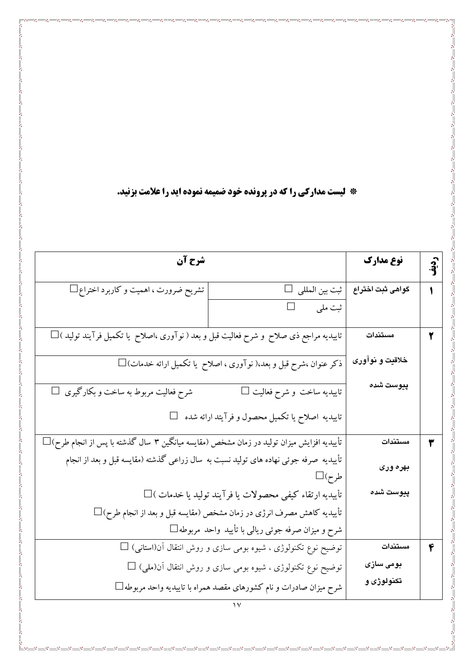**\* لیست مدارکی را که در پرونده خود ضمیمه نموده اید را علامت بزنید.** 

 $\frac{3}{28} - \frac{3}{28} - \frac{3}{28} = \frac{3}{28}$ 

°° ° ° ° ° ° ° ° °

 $\frac{8}{3}$   $\frac{8}{3}$ 

 $\begin{array}{c} \begin{array}{c} \circ \\ \circ \\ \circ \circ \\ \hline \end{array} \end{array}$ 

| شرح آن                                                                                         |                                                                                        | نوع مدارك        | <u>ှာ</u><br>.နိ |
|------------------------------------------------------------------------------------------------|----------------------------------------------------------------------------------------|------------------|------------------|
| تشریح ضرورت ، اهمیت و کاربرد اختراع $\Box$                                                     | ثبت بين المللي □                                                                       | گواهی ثبت اختراع |                  |
|                                                                                                | ثبت ملي                                                                                |                  |                  |
| تاییدیه مراجع ذی صلاح ًو شرح فعالیت قبل و بعد ( نوآوری ،اصلاح ً یا تکمیل فرآیند تولید )□       |                                                                                        | مستندات          | ۲                |
|                                                                                                | $\Box$ ذکر عنوان ،شرح قبل و بعد،( نو $\overline{I}$ وری ، اصلاح  یا تکمیل ارائه خدمات) | خلاقيت و نوآورى  |                  |
| $\Box$ شرح فعالیت مربوط به ساخت و بکارگیری                                                     | تاييديه ساخت و شرح فعاليت □                                                            | پيوست شده        |                  |
|                                                                                                | تاییدیه اصلاح یا تکمیل محصول و فرآیتد ارائه شده                                        |                  |                  |
| $\Box$ (تأییدیه افزایش میزان تولید در زمان مشخص (مقایسه میانگین ۳ سال گذشته با پس از انجام طرح |                                                                                        | مستندات          | ٣                |
| تأییدیه صرفه جوئی نهاده های تولید نسبت به سال زراعی گذشته (مقایسه قبل و بعد از انجام           | طرح)□                                                                                  | بهره وری         |                  |
|                                                                                                | تأييديه ارتقاء كيفي محصولات يا فرآيند توليد يا خدمات )□                                | پيوست شده        |                  |
|                                                                                                | تأييديه كاهش مصرف انرژى در زمان مشخص (مقايسه قبل و بعد از انجام طرح) $\Box$            |                  |                  |
|                                                                                                | شرح و میزان صرفه جوئی ریالی با تأیید واحد مربوطه $\Box$                                |                  |                  |
|                                                                                                | $\Box$ توضیح نوع تکنولوژی ، شیوه بومی سازی و روش انتقال آن(استانی) $\Box$              | مستندات          | ۴                |
|                                                                                                | توضیح نوع تکنولوژی ، شیوه بومی سازی و روش انتقال آن(ملی) $\Box$                        | بومی سازی        |                  |
|                                                                                                | شرح میزان صادرات و نام کشورهای مقصد همراه با تاییدیه واحد مربوطه $\Box$                | تکنولوژی و       |                  |
|                                                                                                |                                                                                        |                  |                  |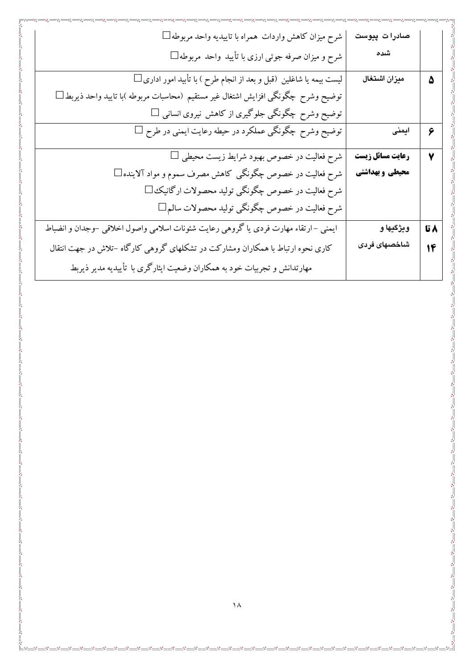| شرح میزان کاهش واردات همراه با تاییدیه واحد مربوطه $\Box$                              | صادرات پیوست     |      |
|----------------------------------------------------------------------------------------|------------------|------|
| شرح و میزان صرفه جوئی ارزی با تأیید واحد مربوطه $\Box$                                 | شده              |      |
| لیست بیمه یا شاغلین (قبل و بعد از انجام طرح ) با تأبید امور اداری                      | ميزان اشتغال     | ۵    |
| توضیح وشرح چگونگی افزایش اشتغال غیر مستقیم (محاسبات مربوطه )با تایید واحد ذیربط $\Box$ |                  |      |
| توضیح وشرح چگونگی جلوگیری از کاهش نیروی انسانی $\Box$                                  |                  |      |
| توضیح وشرح چگونگی عملکرد در حیطه رعایت ایمنی در طرح $\Box$                             | ایمنی            | ٦    |
| $\Box$ شرح فعالیت در خصوص بهبود شرایط زیست محیطی                                       | رعايت مسائل زيست | ٧    |
| شرح فعالیت در خصوص چگونگی کاهش مصرف سموم و مواد آلاینده $\Box$                         | محیطی و بهداشتی  |      |
| شرح فعالیت در خصوص چگونگی تولید محصولات ارگانیک ا                                      |                  |      |
| شرح فعالیت در خصوص چگونگی تولید محصولات سالم                                           |                  |      |
| ایمنی –ارتقاء مهارت فردی یا گروهی رعایت شئونات اسلامی واصول اخلاقی –وجدان و انضباط     | ويژگيها و        | ۸ تا |
| کاری نحوه ارتباط با همکاران ومشارکت در تشکلهای گروهی کارگاه –تلاش در جهت انتقال        | شاخصهای فردی     | 14   |
| مهارتدانش و تجربیات خود به همکاران وضعیت ایثارگری با تأییدیه مدیر ذیربط                |                  |      |
|                                                                                        |                  |      |
|                                                                                        |                  |      |
|                                                                                        |                  |      |

ၜႜ

og

oś

 $\overline{\phantom{0}}^{\circ\bullet\bullet\bullet\bullet}$